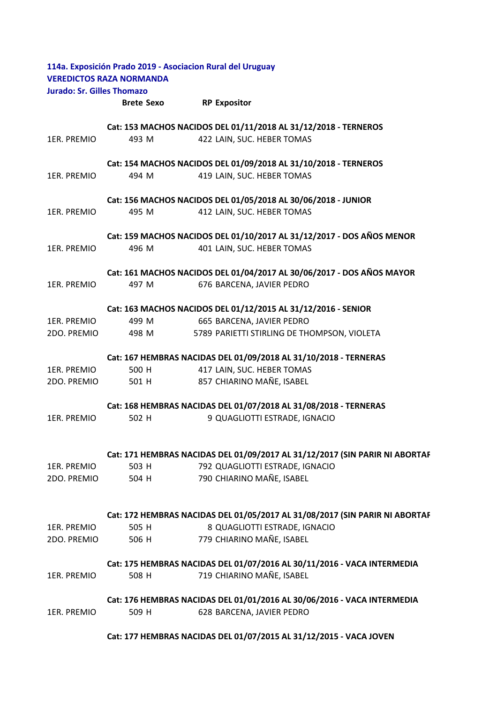|                                   | 114a. Exposición Prado 2019 - Asociacion Rural del Uruguay<br><b>VEREDICTOS RAZA NORMANDA</b> |                                 |                                             |  |
|-----------------------------------|-----------------------------------------------------------------------------------------------|---------------------------------|---------------------------------------------|--|
| <b>Jurado: Sr. Gilles Thomazo</b> |                                                                                               |                                 |                                             |  |
|                                   | <b>Brete Sexo</b>                                                                             | <b>RP Expositor</b>             |                                             |  |
|                                   | Cat: 153 MACHOS NACIDOS DEL 01/11/2018 AL 31/12/2018 - TERNEROS                               |                                 |                                             |  |
| 1ER. PREMIO                       | 493 M                                                                                         | 422 LAIN, SUC. HEBER TOMAS      |                                             |  |
|                                   | Cat: 154 MACHOS NACIDOS DEL 01/09/2018 AL 31/10/2018 - TERNEROS                               |                                 |                                             |  |
| 1ER. PREMIO                       | 494 M                                                                                         | 419 LAIN, SUC. HEBER TOMAS      |                                             |  |
|                                   | Cat: 156 MACHOS NACIDOS DEL 01/05/2018 AL 30/06/2018 - JUNIOR                                 |                                 |                                             |  |
| 1ER. PREMIO                       | 495 M                                                                                         | 412 LAIN, SUC. HEBER TOMAS      |                                             |  |
|                                   | Cat: 159 MACHOS NACIDOS DEL 01/10/2017 AL 31/12/2017 - DOS AÑOS MENOR                         |                                 |                                             |  |
| 1ER. PREMIO                       | 496 M                                                                                         | 401 LAIN, SUC. HEBER TOMAS      |                                             |  |
|                                   | Cat: 161 MACHOS NACIDOS DEL 01/04/2017 AL 30/06/2017 - DOS AÑOS MAYOR                         |                                 |                                             |  |
| 1ER. PREMIO                       | 497 M                                                                                         | 676 BARCENA, JAVIER PEDRO       |                                             |  |
|                                   | Cat: 163 MACHOS NACIDOS DEL 01/12/2015 AL 31/12/2016 - SENIOR                                 |                                 |                                             |  |
| 1ER. PREMIO                       | 499 M                                                                                         | 665 BARCENA, JAVIER PEDRO       |                                             |  |
| 2DO. PREMIO                       | 498 M                                                                                         |                                 | 5789 PARIETTI STIRLING DE THOMPSON, VIOLETA |  |
|                                   | Cat: 167 HEMBRAS NACIDAS DEL 01/09/2018 AL 31/10/2018 - TERNERAS                              |                                 |                                             |  |
| 1ER. PREMIO                       | 500 H                                                                                         | 417 LAIN, SUC. HEBER TOMAS      |                                             |  |
| 2DO. PREMIO                       | 501 H                                                                                         | 857 CHIARINO MAÑE, ISABEL       |                                             |  |
|                                   | Cat: 168 HEMBRAS NACIDAS DEL 01/07/2018 AL 31/08/2018 - TERNERAS                              |                                 |                                             |  |
| 1ER. PREMIO                       | 502 H                                                                                         | 9 QUAGLIOTTI ESTRADE, IGNACIO   |                                             |  |
|                                   |                                                                                               |                                 |                                             |  |
|                                   | Cat: 171 HEMBRAS NACIDAS DEL 01/09/2017 AL 31/12/2017 (SIN PARIR NI ABORTAF                   |                                 |                                             |  |
| 1ER. PREMIO                       | 503 H                                                                                         | 792 QUAGLIOTTI ESTRADE, IGNACIO |                                             |  |
| 2DO. PREMIO                       | 504 H                                                                                         | 790 CHIARINO MAÑE, ISABEL       |                                             |  |
|                                   | Cat: 172 HEMBRAS NACIDAS DEL 01/05/2017 AL 31/08/2017 (SIN PARIR NI ABORTAF                   |                                 |                                             |  |
| 1ER. PREMIO                       | 505 H                                                                                         | 8 QUAGLIOTTI ESTRADE, IGNACIO   |                                             |  |
| 2DO. PREMIO                       | 506 H                                                                                         | 779 CHIARINO MAÑE, ISABEL       |                                             |  |
|                                   | Cat: 175 HEMBRAS NACIDAS DEL 01/07/2016 AL 30/11/2016 - VACA INTERMEDIA                       |                                 |                                             |  |
| 1ER. PREMIO                       | 508 H                                                                                         | 719 CHIARINO MAÑE, ISABEL       |                                             |  |
|                                   | Cat: 176 HEMBRAS NACIDAS DEL 01/01/2016 AL 30/06/2016 - VACA INTERMEDIA                       |                                 |                                             |  |
| 1ER. PREMIO                       | 509 H                                                                                         | 628 BARCENA, JAVIER PEDRO       |                                             |  |

## **Cat: 177 HEMBRAS NACIDAS DEL 01/07/2015 AL 31/12/2015 - VACA JOVEN**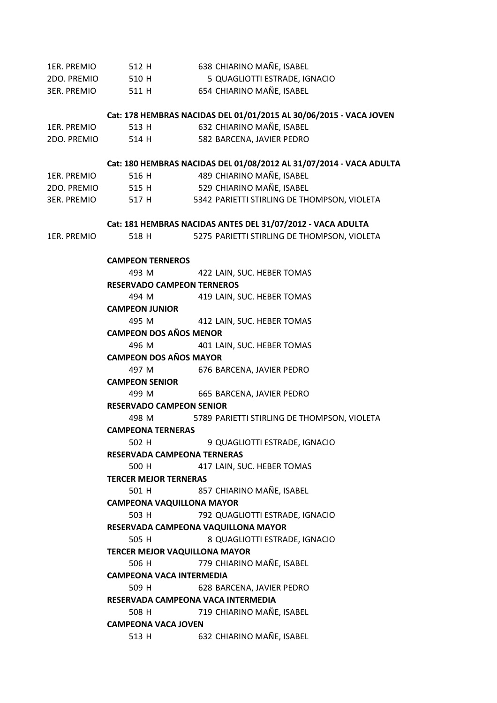| 1ER. PREMIO | 512 H                                | 638 CHIARINO MAÑE, ISABEL                                           |  |  |  |  |  |
|-------------|--------------------------------------|---------------------------------------------------------------------|--|--|--|--|--|
| 2DO. PREMIO | 510 H                                | 5 QUAGLIOTTI ESTRADE, IGNACIO                                       |  |  |  |  |  |
| 3ER. PREMIO | 511 H                                | 654 CHIARINO MAÑE, ISABEL                                           |  |  |  |  |  |
|             |                                      | Cat: 178 HEMBRAS NACIDAS DEL 01/01/2015 AL 30/06/2015 - VACA JOVEN  |  |  |  |  |  |
| 1ER. PREMIO | 513 H                                | 632 CHIARINO MAÑE, ISABEL                                           |  |  |  |  |  |
| 2DO. PREMIO | 514 H                                | 582 BARCENA, JAVIER PEDRO                                           |  |  |  |  |  |
|             |                                      | Cat: 180 HEMBRAS NACIDAS DEL 01/08/2012 AL 31/07/2014 - VACA ADULTA |  |  |  |  |  |
| 1ER. PREMIO | 516 H                                | 489 CHIARINO MAÑE, ISABEL                                           |  |  |  |  |  |
| 2DO. PREMIO | 515 H                                | 529 CHIARINO MAÑE, ISABEL                                           |  |  |  |  |  |
| 3ER. PREMIO |                                      | 517 H 5342 PARIETTI STIRLING DE THOMPSON, VIOLETA                   |  |  |  |  |  |
|             |                                      | Cat: 181 HEMBRAS NACIDAS ANTES DEL 31/07/2012 - VACA ADULTA         |  |  |  |  |  |
| 1ER. PREMIO | 518 H                                | 5275 PARIETTI STIRLING DE THOMPSON, VIOLETA                         |  |  |  |  |  |
|             | <b>CAMPEON TERNEROS</b>              |                                                                     |  |  |  |  |  |
|             | 493 M                                | 422 LAIN, SUC. HEBER TOMAS                                          |  |  |  |  |  |
|             | <b>RESERVADO CAMPEON TERNEROS</b>    |                                                                     |  |  |  |  |  |
|             | 494 M                                | 419 LAIN, SUC. HEBER TOMAS                                          |  |  |  |  |  |
|             | <b>CAMPEON JUNIOR</b>                |                                                                     |  |  |  |  |  |
|             | 495 M                                | 412 LAIN, SUC. HEBER TOMAS                                          |  |  |  |  |  |
|             | <b>CAMPEON DOS AÑOS MENOR</b>        |                                                                     |  |  |  |  |  |
|             | 496 M                                | 401 LAIN, SUC. HEBER TOMAS                                          |  |  |  |  |  |
|             | <b>CAMPEON DOS AÑOS MAYOR</b>        |                                                                     |  |  |  |  |  |
|             | 497 M                                | 676 BARCENA, JAVIER PEDRO                                           |  |  |  |  |  |
|             | <b>CAMPEON SENIOR</b>                |                                                                     |  |  |  |  |  |
|             | 499 M                                | 665 BARCENA, JAVIER PEDRO                                           |  |  |  |  |  |
|             | <b>RESERVADO CAMPEON SENIOR</b>      |                                                                     |  |  |  |  |  |
|             | 498 M                                | 5789 PARIETTI STIRLING DE THOMPSON, VIOLETA                         |  |  |  |  |  |
|             | <b>CAMPEONA TERNERAS</b>             |                                                                     |  |  |  |  |  |
|             | 502 H                                | 9 QUAGLIOTTI ESTRADE, IGNACIO                                       |  |  |  |  |  |
|             | <b>RESERVADA CAMPEONA TERNERAS</b>   |                                                                     |  |  |  |  |  |
|             | 500 H                                | 417 LAIN, SUC. HEBER TOMAS                                          |  |  |  |  |  |
|             | <b>TERCER MEJOR TERNERAS</b>         |                                                                     |  |  |  |  |  |
|             | 501 H                                | 857 CHIARINO MAÑE, ISABEL                                           |  |  |  |  |  |
|             | <b>CAMPEONA VAQUILLONA MAYOR</b>     |                                                                     |  |  |  |  |  |
|             | 503 H                                | 792 QUAGLIOTTI ESTRADE, IGNACIO                                     |  |  |  |  |  |
|             | RESERVADA CAMPEONA VAQUILLONA MAYOR  |                                                                     |  |  |  |  |  |
|             | 505 H                                | 8 QUAGLIOTTI ESTRADE, IGNACIO                                       |  |  |  |  |  |
|             | <b>TERCER MEJOR VAQUILLONA MAYOR</b> |                                                                     |  |  |  |  |  |
|             | 506 H                                | 779 CHIARINO MAÑE, ISABEL                                           |  |  |  |  |  |
|             | <b>CAMPEONA VACA INTERMEDIA</b>      |                                                                     |  |  |  |  |  |
|             | 509 H                                | 628 BARCENA, JAVIER PEDRO                                           |  |  |  |  |  |
|             | RESERVADA CAMPEONA VACA INTERMEDIA   |                                                                     |  |  |  |  |  |
|             | 508 H                                | 719 CHIARINO MAÑE, ISABEL                                           |  |  |  |  |  |
|             | <b>CAMPEONA VACA JOVEN</b>           |                                                                     |  |  |  |  |  |
|             | 513 H                                | 632 CHIARINO MAÑE, ISABEL                                           |  |  |  |  |  |
|             |                                      |                                                                     |  |  |  |  |  |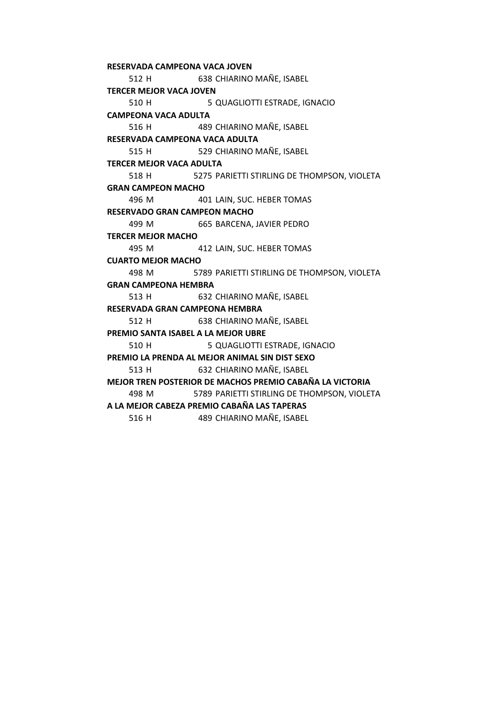512 H 638 CHIARINO MAÑE, ISABEL 510 H 5 QUAGLIOTTI ESTRADE, IGNACIO 516 H 489 CHIARINO MAÑE, ISABEL 515 H 529 CHIARINO MAÑE, ISABEL 518 H 5275 PARIETTI STIRLING DE THOMPSON, VIOLETA 496 M 401 LAIN, SUC. HEBER TOMAS 499 M 665 BARCENA, JAVIER PEDRO 495 M 412 LAIN, SUC. HEBER TOMAS 498 M 5789 PARIETTI STIRLING DE THOMPSON, VIOLETA 513 H 632 CHIARINO MAÑE, ISABEL 512 H 638 CHIARINO MAÑE, ISABEL 510 H 5 QUAGLIOTTI ESTRADE, IGNACIO 513 H 632 CHIARINO MAÑE, ISABEL 498 M 5789 PARIETTI STIRLING DE THOMPSON, VIOLETA 516 H 489 CHIARINO MAÑE, ISABEL **MEJOR TREN POSTERIOR DE MACHOS PREMIO CABAÑA LA VICTORIA A LA MEJOR CABEZA PREMIO CABAÑA LAS TAPERAS TERCER MEJOR MACHO CUARTO MEJOR MACHO GRAN CAMPEONA HEMBRA RESERVADA GRAN CAMPEONA HEMBRA PREMIO SANTA ISABEL A LA MEJOR UBRE PREMIO LA PRENDA AL MEJOR ANIMAL SIN DIST SEXO TERCER MEJOR VACA JOVEN CAMPEONA VACA ADULTA RESERVADA CAMPEONA VACA ADULTA TERCER MEJOR VACA ADULTA GRAN CAMPEON MACHO RESERVADO GRAN CAMPEON MACHO RESERVADA CAMPEONA VACA JOVEN**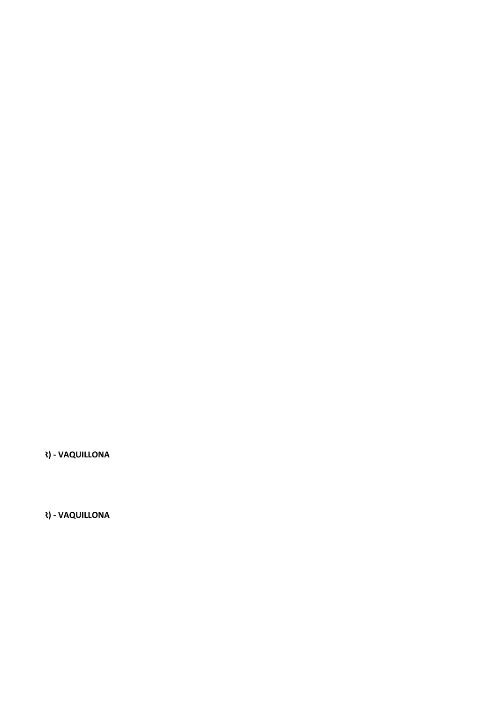**R) - VAQUILLONA** 

**R) - VAQUILLONA**